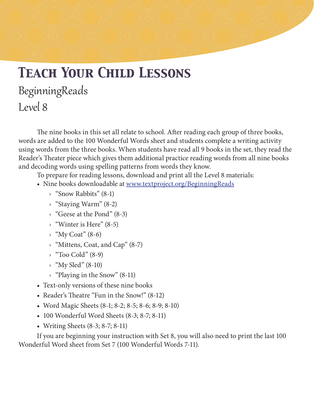# *Teach Your Child Lessons* BeginningReads Level 8

The nine books in this set all relate to school. After reading each group of three books, words are added to the 100 Wonderful Words sheet and students complete a writing activity using words from the three books. When students have read all 9 books in the set, they read the Reader's Theater piece which gives them additional practice reading words from all nine books and decoding words using spelling patterns from words they know.

To prepare for reading lessons, download and print all the Level 8 materials:

- Nine books downloadable at [www.textproject.org/BeginningReads](http://www.textproject.org/beginningreads)
	- › "Snow Rabbits" (8-1)
	- › "Staying Warm" (8-2)
	- › "Geese at the Pond" (8-3)
	- $\rightarrow$  "Winter is Here" (8-5)
	- $\rightarrow$  "My Coat" (8-6)
	- › "Mittens, Coat, and Cap" (8-7)
	- $\rightarrow$  "Too Cold" (8-9)
	- › "My Sled" (8-10)
	- › "Playing in the Snow" (8-11)
- Text-only versions of these nine books
- Reader's Theatre "Fun in the Snow!" (8-12)
- Word Magic Sheets (8-1; 8-2; 8-5; 8-6; 8-9; 8-10)
- 100 Wonderful Word Sheets (8-3; 8-7; 8-11)
- Writing Sheets (8-3; 8-7; 8-11)

If you are beginning your instruction with Set 8, you will also need to print the last 100 Wonderful Word sheet from Set 7 (100 Wonderful Words 7-11).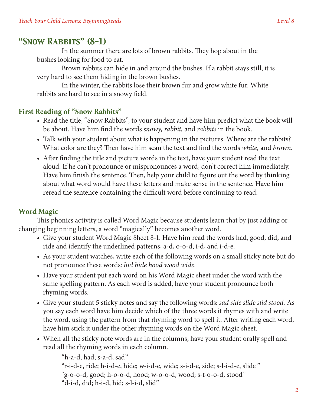# *"Snow Rabbits" (8-1)*

In the summer there are lots of brown rabbits. They hop about in the bushes looking for food to eat.

Brown rabbits can hide in and around the bushes. If a rabbit stays still, it is very hard to see them hiding in the brown bushes.

In the winter, the rabbits lose their brown fur and grow white fur. White rabbits are hard to see in a snowy field.

#### **First Reading of "Snow Rabbits"**

- Read the title, "Snow Rabbits", to your student and have him predict what the book will be about. Have him find the words *snowy, rabbit,* and *rabbits* in the book.
- Talk with your student about what is happening in the pictures. Where are the rabbits? What color are they? Then have him scan the text and find the words *white,* and *brown.*
- After finding the title and picture words in the text, have your student read the text aloud. If he can't pronounce or mispronounces a word, don't correct him immediately. Have him finish the sentence. Then, help your child to figure out the word by thinking about what word would have these letters and make sense in the sentence. Have him reread the sentence containing the difficult word before continuing to read.

### **Word Magic**

This phonics activity is called Word Magic because students learn that by just adding or changing beginning letters, a word "magically" becomes another word.

- Give your student Word Magic Sheet 8-1. Have him read the words had, good, did, and ride and identify the underlined patterns, a-d, o-o-d, i-d, and i-d-e.
- As your student watches, write each of the following words on a small sticky note but do not pronounce these words: *hid hide hood wood wide.*
- Have your student put each word on his Word Magic sheet under the word with the same spelling pattern. As each word is added, have your student pronounce both rhyming words.
- • Give your student 5 sticky notes and say the following words: *sad side slide slid stood.* As you say each word have him decide which of the three words it rhymes with and write the word, using the pattern from that rhyming word to spell it. After writing each word, have him stick it under the other rhyming words on the Word Magic sheet.
- When all the sticky note words are in the columns, have your student orally spell and read all the rhyming words in each column.

"h-a-d, had; s-a-d, sad" "r-i-d-e, ride; h-i-d-e, hide; w-i-d-e, wide; s-i-d-e, side; s-l-i-d-e, slide " "g-o-o-d, good; h-o-o-d, hood; w-o-o-d, wood; s-t-o-o-d, stood" "d-i-d, did; h-i-d, hid; s-l-i-d, slid"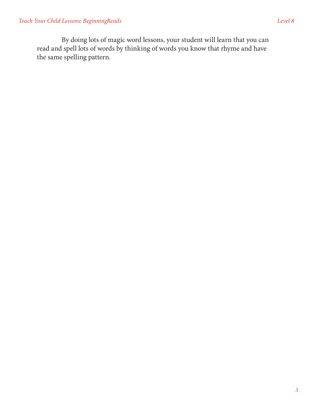By doing lots of magic word lessons, your student will learn that you can read and spell lots of words by thinking of words you know that rhyme and have the same spelling pattern.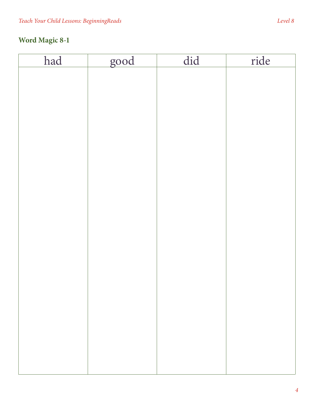| had | good | did | ride |
|-----|------|-----|------|
|     |      |     |      |
|     |      |     |      |
|     |      |     |      |
|     |      |     |      |
|     |      |     |      |
|     |      |     |      |
|     |      |     |      |
|     |      |     |      |
|     |      |     |      |
|     |      |     |      |
|     |      |     |      |
|     |      |     |      |
|     |      |     |      |
|     |      |     |      |
|     |      |     |      |
|     |      |     |      |
|     |      |     |      |
|     |      |     |      |
|     |      |     |      |
|     |      |     |      |
|     |      |     |      |
|     |      |     |      |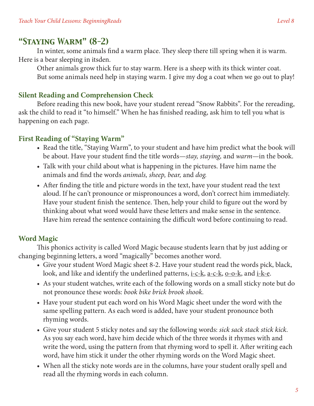### *"Staying Warm" (8-2)*

In winter, some animals find a warm place. They sleep there till spring when it is warm. Here is a bear sleeping in itsden.

Other animals grow thick fur to stay warm. Here is a sheep with its thick winter coat. But some animals need help in staying warm. I give my dog a coat when we go out to play!

#### **Silent Reading and Comprehension Check**

Before reading this new book, have your student reread "Snow Rabbits". For the rereading, ask the child to read it "to himself." When he has finished reading, ask him to tell you what is happening on each page.

#### **First Reading of "Staying Warm"**

- Read the title, "Staying Warm", to your student and have him predict what the book will be about. Have your student find the title words—*stay, staying,* and *warm*—in the book.
- Talk with your child about what is happening in the pictures. Have him name the animals and find the words *animals, sheep, bear,* and *dog.*
- After finding the title and picture words in the text, have your student read the text aloud. If he can't pronounce or mispronounces a word, don't correct him immediately. Have your student finish the sentence. Then, help your child to figure out the word by thinking about what word would have these letters and make sense in the sentence. Have him reread the sentence containing the difficult word before continuing to read.

### **Word Magic**

This phonics activity is called Word Magic because students learn that by just adding or changing beginning letters, a word "magically" becomes another word.

- Give your student Word Magic sheet 8-2. Have your student read the words pick, black, look, and like and identify the underlined patterns, <u>i-c-k, a-c-k, o-o-k</u>, and <u>i-k-e</u>.
- As your student watches, write each of the following words on a small sticky note but do not pronounce these words: *book bike brick brook shook.*
- Have your student put each word on his Word Magic sheet under the word with the same spelling pattern. As each word is added, have your student pronounce both rhyming words.
- • Give your student 5 sticky notes and say the following words: *sick sack stack stick kick.* As you say each word, have him decide which of the three words it rhymes with and write the word, using the pattern from that rhyming word to spell it. After writing each word, have him stick it under the other rhyming words on the Word Magic sheet.
- When all the sticky note words are in the columns, have your student orally spell and read all the rhyming words in each column.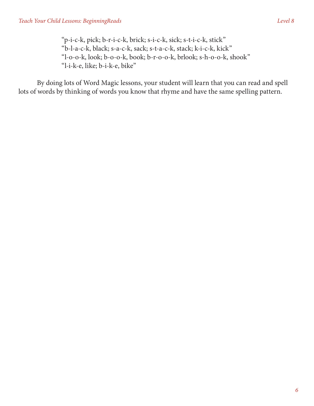"p-i-c-k, pick; b-r-i-c-k, brick; s-i-c-k, sick; s-t-i-c-k, stick" "b-l-a-c-k, black; s-a-c-k, sack; s-t-a-c-k, stack; k-i-c-k, kick" "l-o-o-k, look; b-o-o-k, book; b-r-o-o-k, brlook; s-h-o-o-k, shook" "l-i-k-e, like; b-i-k-e, bike"

By doing lots of Word Magic lessons, your student will learn that you can read and spell lots of words by thinking of words you know that rhyme and have the same spelling pattern.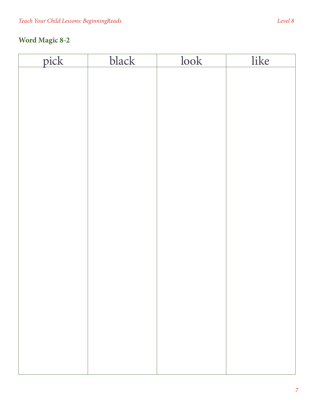| pick | black | look | like |
|------|-------|------|------|
|      |       |      |      |
|      |       |      |      |
|      |       |      |      |
|      |       |      |      |
|      |       |      |      |
|      |       |      |      |
|      |       |      |      |
|      |       |      |      |
|      |       |      |      |
|      |       |      |      |
|      |       |      |      |
|      |       |      |      |
|      |       |      |      |
|      |       |      |      |
|      |       |      |      |
|      |       |      |      |
|      |       |      |      |
|      |       |      |      |
|      |       |      |      |
|      |       |      |      |
|      |       |      |      |
|      |       |      |      |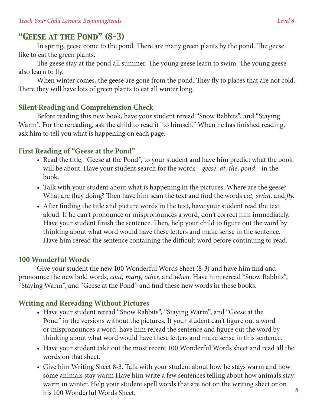# *"Geese at the Pond" (8-3)*

In spring, geese come to the pond. There are many green plants by the pond. The geese like to eat the green plants.

The geese stay at the pond all summer. The young geese learn to swim. The young geese also learn to fly.

When winter comes, the geese are gone from the pond. They fly to places that are not cold. There they will have lots of green plants to eat all winter long.

### **Silent Reading and Comprehension Check**

Before reading this new book, have your student reread "Snow Rabbits", and "Staying Warm". For the rereading, ask the child to read it "to himself." When he has finished reading, ask him to tell you what is happening on each page.

### **First Reading of "Geese at the Pond"**

- Read the title, "Geese at the Pond", to your student and have him predict what the book will be about. Have your student search for the words—*geese, at, the, pond*—in the book.
- Talk with your student about what is happening in the pictures. Where are the geese? What are they doing? Then have him scan the text and find the words *eat, swim,* and *fly.*
- After finding the title and picture words in the text, have your student read the text aloud. If he can't pronounce or mispronounces a word, don't correct him immediately. Have your student finish the sentence. Then, help your child to figure out the word by thinking about what word would have these letters and make sense in the sentence. Have him reread the sentence containing the difficult word before continuing to read.

### **100 Wonderful Words**

Give your student the new 100 Wonderful Words Sheet (8-3) and have him find and pronounce the new bold words, *coat, many, other,* and *when.* Have him reread "Snow Rabbits", "Staying Warm", and "Geese at the Pond" and find these new words in these books.

### **Writing and Rereading Without Pictures**

- Have your student reread "Snow Rabbits", "Staying Warm", and "Geese at the Pond" in the versions without the pictures. If your student can't figure out a word or mispronounces a word, have him reread the sentence and figure out the word by thinking about what word would have these letters and make sense in this sentence.
- Have your student take out the most recent 100 Wonderful Words sheet and read all the words on that sheet.
- Give him Writing Sheet 8-3. Talk with your student about how he stays warm and how some animals stay warm Have him write a few sentences telling about how animals stay warm in winter. Help your student spell words that are not on the writing sheet or on his 100 Wonderful Words Sheet.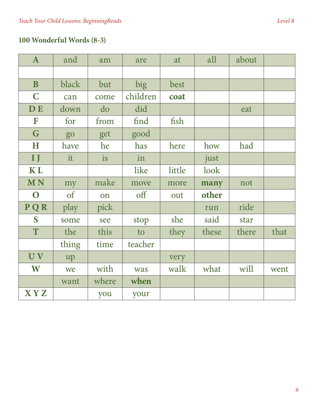# **100 Wonderful Words (8-3)**

| $\mathbf{A}$ | and           | am    | are      | at     | all   | about |      |
|--------------|---------------|-------|----------|--------|-------|-------|------|
|              |               |       |          |        |       |       |      |
| $\mathbf{B}$ | black         | but   | big      | best   |       |       |      |
| $\mathbf C$  | can           | come  | children | coat   |       |       |      |
| <b>DE</b>    | down          | do    | did      |        |       | eat   |      |
| F            | for           | from  | find     | fish   |       |       |      |
| G            | go            | get   | good     |        |       |       |      |
| H            | have          | he    | has      | here   | how   | had   |      |
| $\mathbf{I}$ | it            | is    | in       |        | just  |       |      |
| <b>KL</b>    |               |       | like     | little | look  |       |      |
|              |               |       |          |        |       |       |      |
| <b>MN</b>    | my            | make  | move     | more   | many  | not   |      |
| $\mathbf{O}$ | <sub>of</sub> | on    | off      | out    | other |       |      |
| PQR          | play          | pick  |          |        | run   | ride  |      |
| S            | some          | see   | stop     | she    | said  | star  |      |
| T            | the           | this  | to       | they   | these | there | that |
|              | thing         | time  | teacher  |        |       |       |      |
| UV           | up            |       |          | very   |       |       |      |
| W            | we            | with  | was      | walk   | what  | will  | went |
|              | want          | where | when     |        |       |       |      |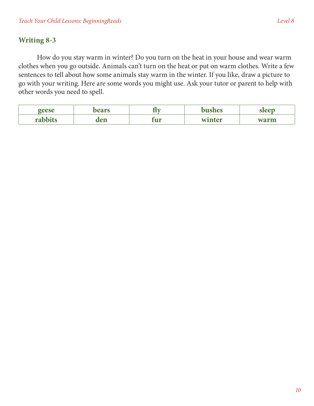### **Writing 8-3**

How do you stay warm in winter? Do you turn on the heat in your house and wear warm clothes when you go outside. Animals can't turn on the heat or put on warm clothes. Write a few sentences to tell about how some animals stay warm in the winter. If you like, draw a picture to go with your writing. Here are some words you might use. Ask your tutor or parent to help with other words you need to spell.

| σρρερ<br>LLJL  | <b>bears</b>        | --              | <b>bushes</b> | laan<br>$\sim$ |
|----------------|---------------------|-----------------|---------------|----------------|
| and le<br>bits | $\mathbf{r}$<br>ucn | <b>.</b><br>141 | winter        | warm           |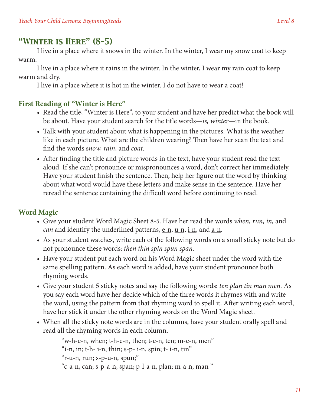# *"Winter is Here" (8-5)*

I live in a place where it snows in the winter. In the winter, I wear my snow coat to keep warm.

I live in a place where it rains in the winter. In the winter, I wear my rain coat to keep warm and dry.

I live in a place where it is hot in the winter. I do not have to wear a coat!

# **First Reading of "Winter is Here"**

- Read the title, "Winter is Here", to your student and have her predict what the book will be about. Have your student search for the title words—*is, winter*—in the book.
- Talk with your student about what is happening in the pictures. What is the weather like in each picture. What are the children wearing? Then have her scan the text and find the words s*now, rain,* and *coat.*
- After finding the title and picture words in the text, have your student read the text aloud. If she can't pronounce or mispronounces a word, don't correct her immediately. Have your student finish the sentence. Then, help her figure out the word by thinking about what word would have these letters and make sense in the sentence. Have her reread the sentence containing the difficult word before continuing to read.

# **Word Magic**

- • Give your student Word Magic Sheet 8-5. Have her read the words *when, run, in,* and *can* and identify the underlined patterns, <u>e-n</u>, <u>u-n, i-n</u>, and <u>a-n</u>.
- As your student watches, write each of the following words on a small sticky note but do not pronounce these words: *then thin spin spun span.*
- Have your student put each word on his Word Magic sheet under the word with the same spelling pattern. As each word is added, have your student pronounce both rhyming words.
- • Give your student 5 sticky notes and say the following words: *ten plan tin man men.* As you say each word have her decide which of the three words it rhymes with and write the word, using the pattern from that rhyming word to spell it. After writing each word, have her stick it under the other rhyming words on the Word Magic sheet.
- When all the sticky note words are in the columns, have your student orally spell and read all the rhyming words in each column.

"w-h-e-n, when; t-h-e-n, then; t-e-n, ten; m-e-n, men"

" $i$ -n,  $i$ n;  $t$ -h- $i$ -n,  $t$ hin;  $s$ -p- $i$ -n,  $s$ pin;  $t$ - $i$ -n,  $t$ in"

"r-u-n, run; s-p-u-n, spun;"

"c-a-n, can; s-p-a-n, span; p-l-a-n, plan; m-a-n, man "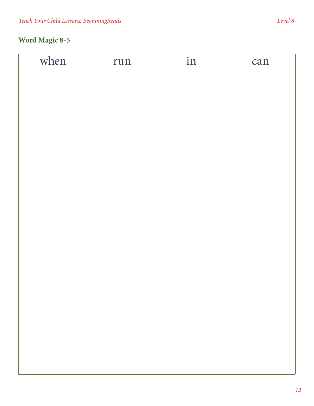| when | run | $\overline{\text{in}}$ | can |
|------|-----|------------------------|-----|
|      |     |                        |     |
|      |     |                        |     |
|      |     |                        |     |
|      |     |                        |     |
|      |     |                        |     |
|      |     |                        |     |
|      |     |                        |     |
|      |     |                        |     |
|      |     |                        |     |
|      |     |                        |     |
|      |     |                        |     |
|      |     |                        |     |
|      |     |                        |     |
|      |     |                        |     |
|      |     |                        |     |
|      |     |                        |     |
|      |     |                        |     |
|      |     |                        |     |
|      |     |                        |     |
|      |     |                        |     |
|      |     |                        |     |
|      |     |                        |     |
|      |     |                        |     |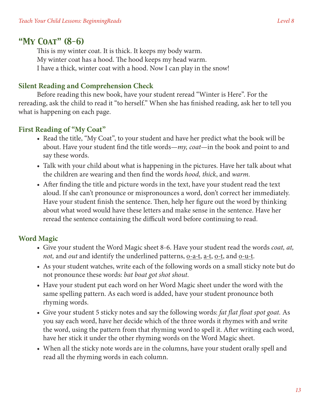### *"My Coat" (8-6)*

This is my winter coat. It is thick. It keeps my body warm. My winter coat has a hood. The hood keeps my head warm. I have a thick, winter coat with a hood. Now I can play in the snow!

#### **Silent Reading and Comprehension Check**

Before reading this new book, have your student reread "Winter is Here". For the rereading, ask the child to read it "to herself." When she has finished reading, ask her to tell you what is happening on each page.

#### **First Reading of "My Coat"**

- Read the title, "My Coat", to your student and have her predict what the book will be about. Have your student find the title words—*my, coat*—in the book and point to and say these words.
- Talk with your child about what is happening in the pictures. Have her talk about what the children are wearing and then find the words *hood, thick*, and *warm.*
- After finding the title and picture words in the text, have your student read the text aloud. If she can't pronounce or mispronounces a word, don't correct her immediately. Have your student finish the sentence. Then, help her figure out the word by thinking about what word would have these letters and make sense in the sentence. Have her reread the sentence containing the difficult word before continuing to read.

#### **Word Magic**

- Give your student the Word Magic sheet 8-6. Have your student read the words *coat*, *at*, *not*, and *out* and identify the underlined patterns, <u>o-a-t, a-t, o-t</u>, and <u>o-u-t</u>.
- As your student watches, write each of the following words on a small sticky note but do not pronounce these words: *bat boat got shot shout.*
- Have your student put each word on her Word Magic sheet under the word with the same spelling pattern. As each word is added, have your student pronounce both rhyming words.
- • Give your student 5 sticky notes and say the following words: *fat flat float spot goat.* As you say each word, have her decide which of the three words it rhymes with and write the word, using the pattern from that rhyming word to spell it. After writing each word, have her stick it under the other rhyming words on the Word Magic sheet.
- When all the sticky note words are in the columns, have your student orally spell and read all the rhyming words in each column.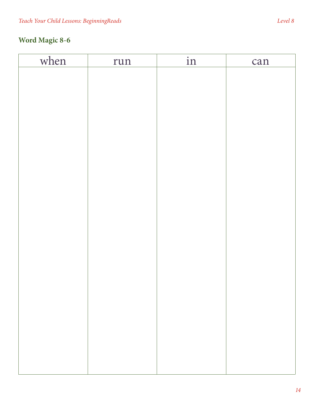| when | run | $\overline{\text{in}}$ | can |
|------|-----|------------------------|-----|
|      |     |                        |     |
|      |     |                        |     |
|      |     |                        |     |
|      |     |                        |     |
|      |     |                        |     |
|      |     |                        |     |
|      |     |                        |     |
|      |     |                        |     |
|      |     |                        |     |
|      |     |                        |     |
|      |     |                        |     |
|      |     |                        |     |
|      |     |                        |     |
|      |     |                        |     |
|      |     |                        |     |
|      |     |                        |     |
|      |     |                        |     |
|      |     |                        |     |
|      |     |                        |     |
|      |     |                        |     |
|      |     |                        |     |
|      |     |                        |     |
|      |     |                        |     |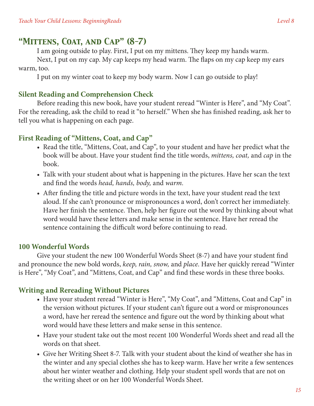# *"Mittens, Coat, and Cap" (8-7)*

I am going outside to play. First, I put on my mittens. They keep my hands warm.

Next, I put on my cap. My cap keeps my head warm. The flaps on my cap keep my ears warm, too.

I put on my winter coat to keep my body warm. Now I can go outside to play!

#### **Silent Reading and Comprehension Check**

Before reading this new book, have your student reread "Winter is Here", and "My Coat". For the rereading, ask the child to read it "to herself." When she has finished reading, ask her to tell you what is happening on each page.

#### **First Reading of "Mittens, Coat, and Cap"**

- • Read the title, "Mittens, Coat, and Cap", to your student and have her predict what the book will be about. Have your student find the title words, *mittens, coat,* and *cap* in the book.
- Talk with your student about what is happening in the pictures. Have her scan the text and find the words *head, hands, body,* and *warm.*
- After finding the title and picture words in the text, have your student read the text aloud. If she can't pronounce or mispronounces a word, don't correct her immediately. Have her finish the sentence. Then, help her figure out the word by thinking about what word would have these letters and make sense in the sentence. Have her reread the sentence containing the difficult word before continuing to read.

#### **100 Wonderful Words**

Give your student the new 100 Wonderful Words Sheet (8-7) and have your student find and pronounce the new bold words, *keep, rain, snow,* and *place*. Have her quickly reread "Winter is Here", "My Coat", and "Mittens, Coat, and Cap" and find these words in these three books.

#### **Writing and Rereading Without Pictures**

- Have your student reread "Winter is Here", "My Coat", and "Mittens, Coat and Cap" in the version without pictures. If your student can't figure out a word or mispronounces a word, have her reread the sentence and figure out the word by thinking about what word would have these letters and make sense in this sentence.
- Have your student take out the most recent 100 Wonderful Words sheet and read all the words on that sheet.
- Give her Writing Sheet 8-7. Talk with your student about the kind of weather she has in the winter and any special clothes she has to keep warm. Have her write a few sentences about her winter weather and clothing. Help your student spell words that are not on the writing sheet or on her 100 Wonderful Words Sheet.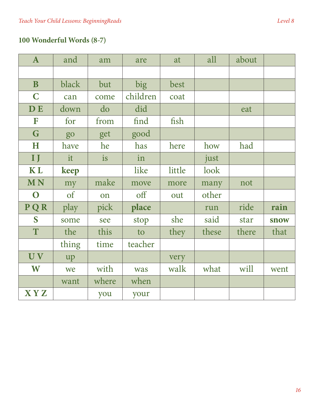# **100 Wonderful Words (8-7)**

| $\mathbf{A}$ | and   | am    | are      | at     | all   | about |      |
|--------------|-------|-------|----------|--------|-------|-------|------|
|              |       |       |          |        |       |       |      |
| $\mathbf{B}$ | black | but   | big      | best   |       |       |      |
| $\mathbf C$  | can   | come  | children | coat   |       |       |      |
| <b>DE</b>    | down  | do    | did      |        |       | eat   |      |
| F            | for   | from  | find     | fish   |       |       |      |
| G            | go    | get   | good     |        |       |       |      |
| H            | have  | he    | has      | here   | how   | had   |      |
| $\mathbf{I}$ | it    | is    | in       |        | just  |       |      |
| <b>KL</b>    | keep  |       | like     | little | look  |       |      |
|              |       |       |          |        |       |       |      |
| <b>MN</b>    | my    | make  | move     | more   | many  | not   |      |
| $\mathbf{O}$ | of    | on    | off      | out    | other |       |      |
| PQR          | play  | pick  | place    |        | run   | ride  | rain |
| S            | some  | see   | stop     | she    | said  | star  | snow |
| T            | the   | this  | to       | they   | these | there | that |
|              | thing | time  | teacher  |        |       |       |      |
| UV           | up    |       |          | very   |       |       |      |
| W            | we    | with  | was      | walk   | what  | will  | went |
|              | want  | where | when     |        |       |       |      |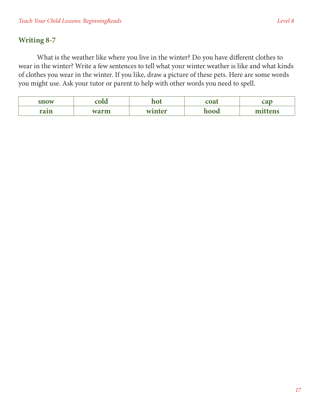# **Writing 8-7**

What is the weather like where you live in the winter? Do you have different clothes to wear in the winter? Write a few sentences to tell what your winter weather is like and what kinds of clothes you wear in the winter. If you like, draw a picture of these pets. Here are some words you might use. Ask your tutor or parent to help with other words you need to spell.

| snow | тч                 |      | $\sim$ | 001 |
|------|--------------------|------|--------|-----|
| rain | <b>WATCH SESSA</b> | nter | ood    | ens |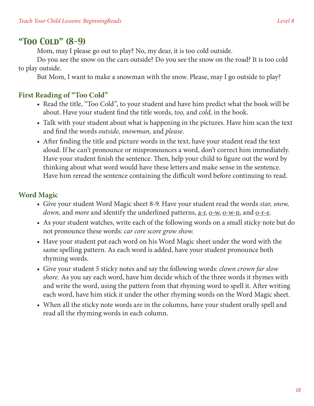# *"Too Cold" (8-9)*

Mom, may I please go out to play? No, my dear, it is too cold outside.

Do you see the snow on the cars outside? Do you see the snow on the road? It is too cold to play outside.

But Mom, I want to make a snowman with the snow. Please, may I go outside to play?

# **First Reading of "Too Cold"**

- Read the title, "Too Cold", to your student and have him predict what the book will be about. Have your student find the title words, *too,* and *cold,* in the book.
- Talk with your student about what is happening in the pictures. Have him scan the text and find the words *outside, snowman,* and *please.*
- After finding the title and picture words in the text, have your student read the text aloud. If he can't pronounce or mispronounces a word, don't correct him immediately. Have your student finish the sentence. Then, help your child to figure out the word by thinking about what word would have these letters and make sense in the sentence. Have him reread the sentence containing the difficult word before continuing to read.

# **Word Magic**

- • Give your student Word Magic sheet 8-9. Have your student read the words *star, snow,*  down, and *more* and identify the underlined patterns, a-r, o-w, o-w-n, and o-r-e.
- As your student watches, write each of the following words on a small sticky note but do not pronounce these words: *car core score grow show.*
- Have your student put each word on his Word Magic sheet under the word with the same spelling pattern. As each word is added, have your student pronounce both rhyming words.
- • Give your student 5 sticky notes and say the following words: *clown crown far slow shore.* As you say each word, have him decide which of the three words it rhymes with and write the word, using the pattern from that rhyming word to spell it. After writing each word, have him stick it under the other rhyming words on the Word Magic sheet.
- When all the sticky note words are in the columns, have your student orally spell and read all the rhyming words in each column.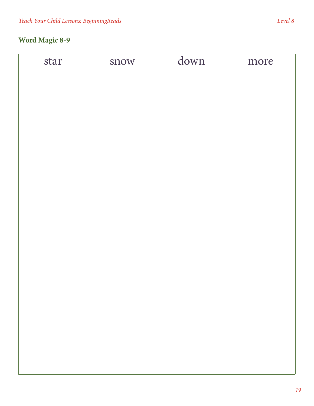| star | snow | down | more |
|------|------|------|------|
|      |      |      |      |
|      |      |      |      |
|      |      |      |      |
|      |      |      |      |
|      |      |      |      |
|      |      |      |      |
|      |      |      |      |
|      |      |      |      |
|      |      |      |      |
|      |      |      |      |
|      |      |      |      |
|      |      |      |      |
|      |      |      |      |
|      |      |      |      |
|      |      |      |      |
|      |      |      |      |
|      |      |      |      |
|      |      |      |      |
|      |      |      |      |
|      |      |      |      |
|      |      |      |      |
|      |      |      |      |
|      |      |      |      |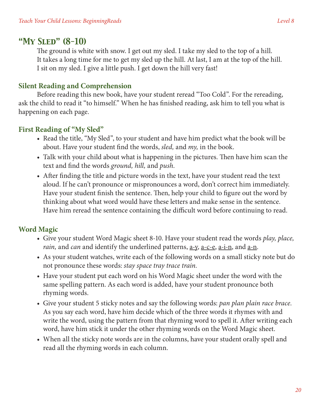# *"My Sled" (8-10)*

The ground is white with snow. I get out my sled. I take my sled to the top of a hill. It takes a long time for me to get my sled up the hill. At last, I am at the top of the hill. I sit on my sled. I give a little push. I get down the hill very fast!

#### **Silent Reading and Comprehension**

Before reading this new book, have your student reread "Too Cold". For the rereading, ask the child to read it "to himself." When he has finished reading, ask him to tell you what is happening on each page.

#### **First Reading of "My Sled"**

- Read the title, "My Sled", to your student and have him predict what the book will be about. Have your student find the words, *sled,* and *my,* in the book.
- Talk with your child about what is happening in the pictures. Then have him scan the text and find the words *ground, hill,* and *push.*
- After finding the title and picture words in the text, have your student read the text aloud. If he can't pronounce or mispronounces a word, don't correct him immediately. Have your student finish the sentence. Then, help your child to figure out the word by thinking about what word would have these letters and make sense in the sentence. Have him reread the sentence containing the difficult word before continuing to read.

### **Word Magic**

- • Give your student Word Magic sheet 8-10. Have your student read the words *play, place, rain*, and *can* and identify the underlined patterns, <u>a-y</u>, <u>a-c-e</u>, <u>a-i-n</u>, and <u>a-n</u>.
- As your student watches, write each of the following words on a small sticky note but do not pronounce these words: *stay space tray trace train.*
- Have your student put each word on his Word Magic sheet under the word with the same spelling pattern. As each word is added, have your student pronounce both rhyming words.
- • Give your student 5 sticky notes and say the following words: *pan plan plain race brace.* As you say each word, have him decide which of the three words it rhymes with and write the word, using the pattern from that rhyming word to spell it. After writing each word, have him stick it under the other rhyming words on the Word Magic sheet.
- When all the sticky note words are in the columns, have your student orally spell and read all the rhyming words in each column.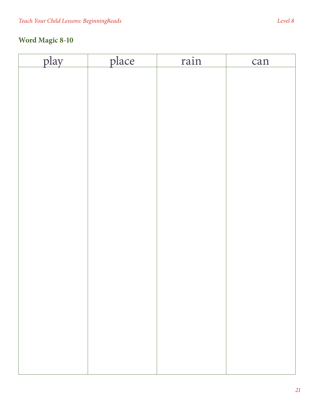| play | place | rain | can |
|------|-------|------|-----|
|      |       |      |     |
|      |       |      |     |
|      |       |      |     |
|      |       |      |     |
|      |       |      |     |
|      |       |      |     |
|      |       |      |     |
|      |       |      |     |
|      |       |      |     |
|      |       |      |     |
|      |       |      |     |
|      |       |      |     |
|      |       |      |     |
|      |       |      |     |
|      |       |      |     |
|      |       |      |     |
|      |       |      |     |
|      |       |      |     |
|      |       |      |     |
|      |       |      |     |
|      |       |      |     |
|      |       |      |     |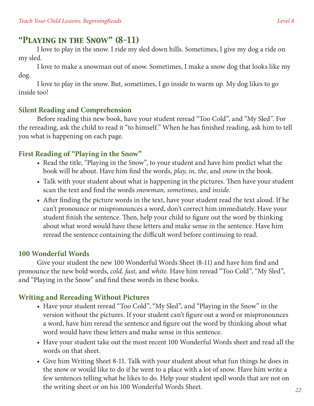# *"Playing in the Snow" (8-11)*

I love to play in the snow. I ride my sled down hills. Sometimes, I give my dog a ride on my sled.

I love to make a snowman out of snow. Sometimes, I make a snow dog that looks like my dog.

I love to play in the snow. But, sometimes, I go inside to warm up. My dog likes to go inside too!

### **Silent Reading and Comprehension**

Before reading this new book, have your student reread "Too Cold", and "My Sled". For the rereading, ask the child to read it "to himself." When he has finished reading, ask him to tell you what is happening on each page.

### **First Reading of "Playing in the Snow"**

- Read the title, "Playing in the Snow", to your student and have him predict what the book will be about. Have him find the words, *play, in, the,* and *snow* in the book.
- Talk with your student about what is happening in the pictures. Then have your student scan the text and find the words *snowman, sometimes,* and *inside.*
- After finding the picture words in the text, have your student read the text aloud. If he can't pronounce or mispronounces a word, don't correct him immediately. Have your student finish the sentence. Then, help your child to figure out the word by thinking about what word would have these letters and make sense in the sentence. Have him reread the sentence containing the difficult word before continuing to read.

### **100 Wonderful Words**

Give your student the new 100 Wonderful Words Sheet (8-11) and have him find and pronounce the new bold words, *cold, fast,* and *white.* Have him reread "Too Cold", "My Sled", and "Playing in the Snow" and find these words in these books.

### **Writing and Rereading Without Pictures**

- Have your student reread "Too Cold", "My Sled", and "Playing in the Snow" in the version without the pictures. If your student can't figure out a word or mispronounces a word, have him reread the sentence and figure out the word by thinking about what word would have these letters and make sense in this sentence.
- Have your student take out the most recent 100 Wonderful Words sheet and read all the words on that sheet.
- Give him Writing Sheet 8-11. Talk with your student about what fun things he does in the snow or would like to do if he went to a place with a lot of snow. Have him write a few sentences telling what he likes to do. Help your student spell words that are not on the writing sheet or on his 100 Wonderful Words Sheet.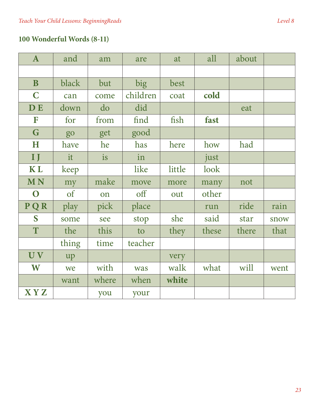# **100 Wonderful Words (8-11)**

| $\mathbf{A}$ | and   | am    | are      | at     | all   | about |      |
|--------------|-------|-------|----------|--------|-------|-------|------|
|              |       |       |          |        |       |       |      |
| $\bf{B}$     | black | but   | big      | best   |       |       |      |
| $\mathbf C$  | can   | come  | children | coat   | cold  |       |      |
| <b>DE</b>    | down  | do    | did      |        |       | eat   |      |
| F            | for   | from  | find     | fish   | fast  |       |      |
| G            | go    | get   | good     |        |       |       |      |
| H            | have  | he    | has      | here   | how   | had   |      |
| $\mathbf{I}$ | it    | is    | in       |        | just  |       |      |
| <b>KL</b>    | keep  |       | like     | little | look  |       |      |
| <b>MN</b>    | my    | make  | move     | more   | many  | not   |      |
| $\mathbf{O}$ | of    | on    | off      | out    | other |       |      |
| PQR          | play  | pick  | place    |        | run   | ride  | rain |
| S            | some  | see   | stop     | she    | said  | star  | snow |
| T            | the   | this  | to       | they   | these | there | that |
|              | thing | time  | teacher  |        |       |       |      |
|              |       |       |          |        |       |       |      |
| UV           | up    |       |          | very   |       |       |      |
| W            | we    | with  | was      | walk   | what  | will  | went |
|              | want  | where | when     | white  |       |       |      |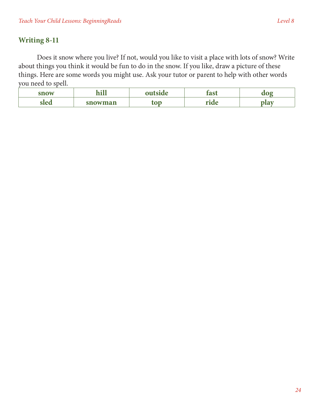# **Writing 8-11**

Does it snow where you live? If not, would you like to visit a place with lots of snow? Write about things you think it would be fun to do in the snow. If you like, draw a picture of these things. Here are some words you might use. Ask your tutor or parent to help with other words you need to spell.

| snow | $-11$    | n n<br>$-0.5$ |  |
|------|----------|---------------|--|
|      | $\alpha$ |               |  |